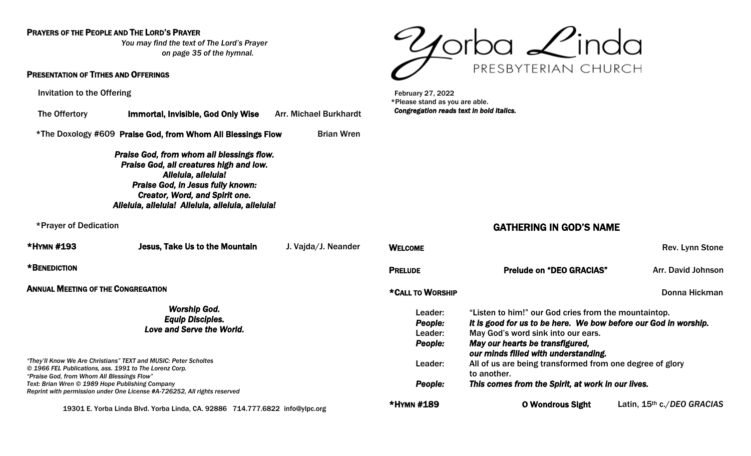### PRAYERS OF THE PEOPLE AND THE LORD'S PRAYER

*You may find the text of The Lord's Prayer on page 35 of the hymnal.* 

### PRESENTATION OF TITHES AND OFFERINGS

Invitation to the Offering

| The Offertory                      | <b>Immortal, Invisible, God Only Wise Arr. Michael Burkhardt</b>                                                                                                                                                                                             |                     |  |  |  |
|------------------------------------|--------------------------------------------------------------------------------------------------------------------------------------------------------------------------------------------------------------------------------------------------------------|---------------------|--|--|--|
|                                    | *The Doxology #609 Praise God, from Whom All Blessings Flow                                                                                                                                                                                                  | <b>Brian Wren</b>   |  |  |  |
|                                    | <b>Praise God, from whom all blessings flow.</b><br>Praise God, all creatures high and low.<br>Alleluia, alleluia!<br><b>Praise God, in Jesus fully known:</b><br><b>Creator, Word, and Spirit one.</b><br>Alleluia, alleluia! Alleluia, alleluia, alleluia! |                     |  |  |  |
| *Prayer of Dedication              |                                                                                                                                                                                                                                                              |                     |  |  |  |
| *HYMN #193                         | Jesus, Take Us to the Mountain                                                                                                                                                                                                                               | J. Vajda/J. Neander |  |  |  |
| *BENEDICTION                       |                                                                                                                                                                                                                                                              |                     |  |  |  |
| ANNUAL MEETING OF THE CONGREGATION |                                                                                                                                                                                                                                                              |                     |  |  |  |
|                                    |                                                                                                                                                                                                                                                              |                     |  |  |  |

### *Worship God. Equip Disciples. Love and Serve the World.*

*"They'll Know We Are Christians" TEXT and MUSIC: Peter Scholtes © 1966 FEL Publications, ass. 1991 to The Lorenz Corp. "Praise God, from Whom All Blessings Flow" Text: Brian Wren © 1989 Hope Publishing Company Reprint with permission under One License #A-726252, All rights reserved* 

19301 E. Yorba Linda Blvd. Yorba Linda, CA. 92886 714.777.6822 [info@ylpc.org](mailto:info@ylpc.org)



 February 27, 2022 \*Please stand as you are able. *Congregation reads text in bold italics.* 

## GATHERING IN GOD'S NAME

| <b>WELCOME</b>   |                                                                         | Rev. Lynn Stone            |  |
|------------------|-------------------------------------------------------------------------|----------------------------|--|
| <b>PRELUDE</b>   | <b>Prelude on "DEO GRACIAS"</b>                                         | Arr. David Johnson         |  |
| *CALL TO WORSHIP |                                                                         | Donna Hickman              |  |
| Leader:          | "Listen to him!" our God cries from the mountaintop.                    |                            |  |
| People:          | It is good for us to be here. We bow before our God in worship.         |                            |  |
| Leader:          | May God's word sink into our ears.                                      |                            |  |
| People:          | May our hearts be transfigured,<br>our minds filled with understanding. |                            |  |
| Leader:          | All of us are being transformed from one degree of glory<br>to another. |                            |  |
| People:          | This comes from the Spirit, at work in our lives.                       |                            |  |
| *HYMN #189       | <b>O Wondrous Sight</b>                                                 | Latin, 15th c./DEO GRACIAS |  |